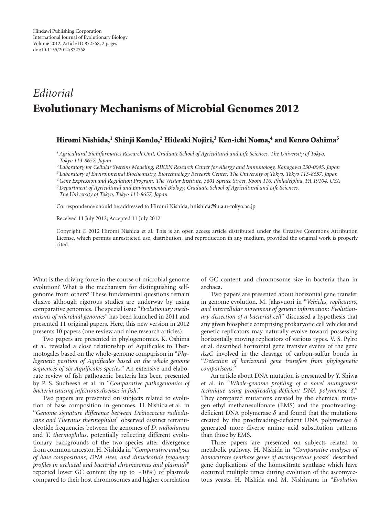## *Editorial* **Evolutionary Mechanisms of Microbial Genomes 2012**

## **Hiromi Nishida,1 Shinji Kondo,2 Hideaki Nojiri,3 Ken-ichi Noma,4 and Kenro Oshima5**

*1Agricultural Bioinformatics Research Unit, Graduate School of Agricultural and Life Sciences, The University of Tokyo, Tokyo 113-8657, Japan*

*<sup>2</sup> Laboratory for Cellular Systems Modeling, RIKEN Research Center for Allergy and Immunology, Kanagawa 230-0045, Japan*

*<sup>3</sup> Laboratory of Environmental Biochemistry, Biotechnology Research Center, The University of Tokyo, Tokyo 113-8657, Japan*

*4Gene Expression and Regulation Program, The Wistar Institute, 3601 Spruce Street, Room 116, Philadelphia, PA 19104, USA*

*5Department of Agricultural and Environmental Biology, Graduate School of Agricultural and Life Sciences,*

*The University of Tokyo, Tokyo 113-8657, Japan*

Correspondence should be addressed to Hiromi Nishida, [hnishida@iu.a.u-tokyo.ac.jp](mailto:hnishida@iu.a.u-tokyo.ac.jp)

Received 11 July 2012; Accepted 11 July 2012

Copyright © 2012 Hiromi Nishida et al. This is an open access article distributed under the Creative Commons Attribution License, which permits unrestricted use, distribution, and reproduction in any medium, provided the original work is properly cited.

What is the driving force in the course of microbial genome evolution? What is the mechanism for distinguishing selfgenome from others? These fundamental questions remain elusive although rigorous studies are underway by using comparative genomics. The special issue "*Evolutionary mechanisms of microbial genomes*" has been launched in 2011 and presented 11 original papers. Here, this new version in 2012 presents 10 papers (one review and nine research articles).

Two papers are presented in phylogenomics. K. Oshima et al. revealed a close relationship of Aquificales to Thermotogales based on the whole-genome comparison in "*Phylogenetic position of Aquificales based on the whole genome sequences of six Aquificales species*." An extensive and elaborate review of fish pathogenic bacteria has been presented by P. S. Sudheesh et al. in "*Comparative pathogenomics of bacteria causing infectious diseases in fish*."

Two papers are presented on subjects related to evolution of base composition in genomes. H. Nishida et al. in "*Genome signature difference between Deinococcus radiodurans and Thermus thermophilus*" observed distinct tetranucleotide frequencies between the genomes of *D. radiodurans* and *T. thermophilus*, potentially reflecting different evolutionary backgrounds of the two species after divergence from common ancestor. H. Nishida in "*Comparative analyses of base compositions, DNA sizes, and dinucleotide frequency profiles in archaeal and bacterial chromosomes and plasmids*" reported lower GC content (by up to ∼10%) of plasmids compared to their host chromosomes and higher correlation

of GC content and chromosome size in bacteria than in archaea.

Two papers are presented about horizontal gene transfer in genome evolution. M. Jalasvuori in "*Vehicles, replicators, and intercellular movement of genetic information: Evolutionary dissection of a bacterial cell*" discussed a hypothesis that any given biosphere comprising prokaryotic cell vehicles and genetic replicators may naturally evolve toward possessing horizontally moving replicators of various types. V. S. Pylro et al. described horizontal gene transfer events of the gene *dszC* involved in the cleavage of carbon-sulfur bonds in "*Detection of horizontal gene transfers from phylogenetic comparisons*."

An article about DNA mutation is presented by Y. Shiwa et al. in "*Whole-genome profiling of a novel mutagenesis technique using proofreading-deficient DNA polymerase δ*." They compared mutations created by the chemical mutagen ethyl methanesulfonate (EMS) and the proofreadingdeficient DNA polymerase *δ* and found that the mutations created by the proofreading-deficient DNA polymerase *δ* generated more diverse amino acid substitution patterns than those by EMS.

Three papers are presented on subjects related to metabolic pathway. H. Nishida in "*Comparative analyses of homocitrate synthase genes of ascomycetous yeasts*" described gene duplications of the homocitrate synthase which have occurred multiple times during evolution of the ascomycetous yeasts. H. Nishida and M. Nishiyama in "*Evolution*